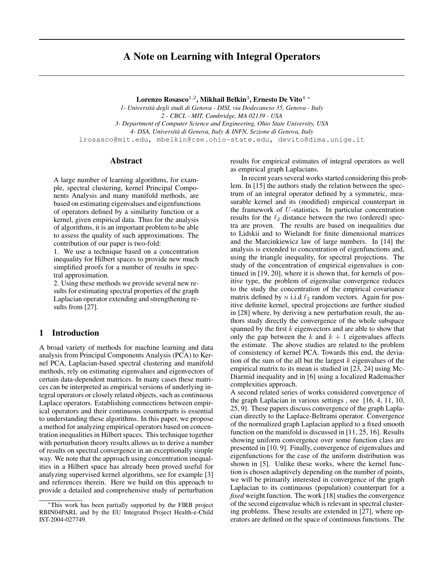# A Note on Learning with Integral Operators

Lorenzo Rosasco $^{1,2}$ , Mikhail Belkin $^3$ , Ernesto De Vito $^4$   $^\ast$ 

*1- Universita degli studi di Genova - DISI, via Dodecaneso 35, Genova - Italy ` 2 - CBCL - MIT, Cambridge, MA 02139 - USA 3- Department of Computer Science and Engineering, Ohio State University, USA 4- DSA, Universita di Genova, Italy & INFN, Sezione di Genova, Italy `* lrosasco@mit.edu, mbelkin@cse.ohio-state.edu, devito@dima.unige.it

# **Abstract**

A large number of learning algorithms, for example, spectral clustering, kernel Principal Components Analysis and many manifold methods, are based on estimating eigenvalues and eigenfunctions of operators defined by a similarity function or a kernel, given empirical data. Thus for the analysis of algorithms, it is an important problem to be able to assess the quality of such approximations. The contribution of our paper is two-fold:

1. We use a technique based on a concentration inequality for Hilbert spaces to provide new much simplified proofs for a number of results in spectral approximation.

2. Using these methods we provide several new results for estimating spectral properties of the graph Laplacian operator extending and strengthening results from [27].

# 1 Introduction

A broad variety of methods for machine learning and data analysis from Principal Components Analysis (PCA) to Kernel PCA, Laplacian-based spectral clustering and manifold methods, rely on estimating eigenvalues and eigenvectors of certain data-dependent matrices. In many cases these matrices can be interpreted as empirical versions of underlying integral operators or closely related objects, such as continuous Laplace operators. Establishing connections between empirical operators and their continuous counterparts is essential to understanding these algorithms. In this paper, we propose a method for analyzing empirical operators based on concentration inequalities in Hilbert spaces. This technique together with perturbation theory results allows us to derive a number of results on spectral convergence in an exceptionally simple way. We note that the approach using concentration inequalities in a Hilbert space has already been proved useful for analyzing supervised kernel algorithms, see for example [3] and references therein. Here we build on this approach to provide a detailed and comprehensive study of perturbation

results for empirical estimates of integral operators as well as empirical graph Laplacians.

In recent years several works started considering this problem. In [15] the authors study the relation between the spectrum of an integral operator defined by a symmetric, measurable kernel and its (modified) empirical counterpart in the framework of  $U$ -statistics. In particular concentration results for the  $\ell_2$  distance between the two (ordered) spectra are proven. The results are based on inequalities due to Lidskii and to Wielandt for finite dimensional matrices and the Marcinkiewicz law of large numbers. In [14] the analysis is extended to concentration of eigenfunctions and, using the triangle inequality, for spectral projections. The study of the concentration of empirical eigenvalues is continued in [19, 20], where it is shown that, for kernels of positive type, the problem of eigenvalue convergence reduces to the study the concentration of the empirical covariance matrix defined by n i.i.d  $\ell_2$  random vectors. Again for positive definite kernel, spectral projections are further studied in [28] where, by deriving a new perturbation result, the authors study directly the convergence of the whole subspace spanned by the first  $k$  eigenvectors and are able to show that only the gap between the k and  $k + 1$  eigenvalues affects the estimate. The above studies are related to the problem of consistency of kernel PCA. Towards this end, the deviation of the sum of the all but the largest  $k$  eigenvalues of the empirical matrix to its mean is studied in [23, 24] using Mc-Diarmid inequality and in [6] using a localized Rademacher complexities approach.

A second related series of works considered convergence of the graph Laplacian in various settings , see [16, 4, 11, 10, 25, 9]. These papers discuss convergence of the graph Laplacian directly to the Laplace-Beltrami operator. Convergence of the normalized graph Laplacian applied to a fixed smooth function on the manifold is discussed in [11, 25, 16]. Results showing uniform convergence over some function class are presented in [10, 9]. Finally, convergence of eigenvalues and eigenfunctions for the case of the uniform distribution was shown in [5]. Unlike these works, where the kernel function is chosen adaptively depending on the number of points, we will be primarily interested in convergence of the graph Laplacian to its continuous (population) counterpart for a *fixed* weight function. The work [18] studies the convergence of the second eigenvalue which is relevant in spectral clustering problems. These results are extended in [27], where operators are defined on the space of continuous functions. The

<sup>∗</sup>This work has been partially supported by the FIRB project RBIN04PARL and by the EU Integrated Project Health-e-Child IST-2004-027749.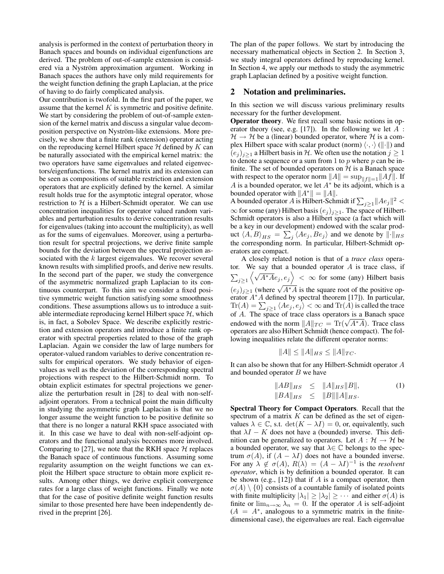analysis is performed in the context of perturbation theory in Banach spaces and bounds on individual eigenfunctions are derived. The problem of out-of-sample extension is considered via a Nyström approximation argument. Working in Banach spaces the authors have only mild requirements for the weight function defining the graph Laplacian, at the price of having to do fairly complicated analysis.

Our contribution is twofold. In the first part of the paper, we assume that the kernel  $K$  is symmetric and positive definite. We start by considering the problem of out-of-sample extension of the kernel matrix and discuss a singular value decomposition perspective on Nyström-like extensions. More precisely, we show that a finite rank (extension) operator acting on the reproducing kernel Hilbert space  $H$  defined by  $K$  can be naturally associated with the empirical kernel matrix: the two operators have same eigenvalues and related eigenvectors/eigenfunctions. The kernel matrix and its extension can be seen as compositions of suitable restriction and extension operators that are explicitly defined by the kernel. A similar result holds true for the asymptotic integral operator, whose restriction to  $H$  is a Hilbert-Schmidt operator. We can use concentration inequalities for operator valued random variables and perturbation results to derive concentration results for eigenvalues (taking into account the multiplicity), as well as for the sums of eigenvalues. Moreover, using a perturbation result for spectral projections, we derive finite sample bounds for the deviation between the spectral projection associated with the  $k$  largest eigenvalues. We recover several known results with simplified proofs, and derive new results. In the second part of the paper, we study the convergence of the asymmetric normalized graph Laplacian to its continuous counterpart. To this aim we consider a fixed positive symmetric weight function satisfying some smoothness conditions. These assumptions allows us to introduce a suitable intermediate reproducing kernel Hilbert space  $H$ , which is, in fact, a Sobolev Space. We describe explicitly restriction and extension operators and introduce a finite rank operator with spectral properties related to those of the graph Laplacian. Again we consider the law of large numbers for operator-valued random variables to derive concentration results for empirical operators. We study behavior of eigenvalues as well as the deviation of the corresponding spectral projections with respect to the Hilbert-Schmidt norm. To obtain explicit estimates for spectral projections we generalize the perturbation result in [28] to deal with non-selfadjoint operators. From a technical point the main difficulty in studying the asymmetric graph Laplacian is that we no longer assume the weight function to be positive definite so that there is no longer a natural RKH space associated with it. In this case we have to deal with non-self-adjoint operators and the functional analysis becomes more involved. Comparing to [27], we note that the RKH space  $H$  replaces the Banach space of continuous functions. Assuming some regularity assumption on the weight functions we can exploit the Hilbert space structure to obtain more explicit results. Among other things, we derive explicit convergence rates for a large class of weight functions. Finally we note that for the case of positive definite weight function results similar to those presented here have been independently derived in the preprint [26].

The plan of the paper follows. We start by introducing the necessary mathematical objects in Section 2. In Section 3, we study integral operators defined by reproducing kernel. In Section 4, we apply our methods to study the asymmetric graph Laplacian defined by a positive weight function.

# 2 Notation and preliminaries.

In this section we will discuss various preliminary results necessary for the further development.

Operator theory. We first recall some basic notions in operator theory (see, e.g. [17]). In the following we let  $A$ :  $H \rightarrow H$  be a (linear) bounded operator, where H is a complex Hilbert space with scalar product (norm)  $\langle \cdot, \cdot \rangle$  ( $\|\cdot\|$ ) and  $(e_j)_{j\geq1}$  a Hilbert basis in H. We often use the notation  $j\geq1$ to denote a sequence or a sum from 1 to  $p$  where  $p$  can be infinite. The set of bounded operators on  $H$  is a Banach space with respect to the operator norm  $||A|| = \sup_{||f||=1}||Af||$ . If A is a bounded operator, we let  $A^*$  be its adjoint, which is a bounded operator with  $||A^*|| = ||A||$ .

A bounded operator A is Hilbert-Schmidt if  $\sum_{j\geq 1} ||Ae_j||^2 <$  $\infty$  for some (any) Hilbert basis  $(e_j)_{j\geq 1}$ . The space of Hilbert-Schmidt operators is also a Hilbert space (a fact which will be a key in our development) endowed with the scalar product  $\langle A, B \rangle_{HS} = \sum_j \langle A e_j, B e_j \rangle$  and we denote by  $\|\cdot\|_{HS}$ the corresponding norm. In particular, Hilbert-Schmidt operators are compact.

A closely related notion is that of a *trace class* operator. We say that a bounded operator  $A$  is trace class, if  $\sum_{j\geq 1} \left\langle \sqrt{A^*A}e_j, e_j \right\rangle < \infty$  for some (any) Hilbert basis  $(e_j)_{j\geq1}$  (where  $\sqrt{A^*A}$  is the square root of the positive operator A<sup>∗</sup>A defined by spectral theorem [17]). In particular,  $\text{Tr}(A) = \sum_{j\geq 1} \langle Ae_j, e_j \rangle < \infty$  and  $\text{Tr}(A)$  is called the trace of  $A$ . The space of trace class operators is a Banach space or A. The space of trace class operators is a Banach space<br>endowed with the norm  $||A||_{TC} = \text{Tr}(\sqrt{A^*A})$ . Trace class operators are also Hilbert Schmidt (hence compact). The following inequalities relate the different operator norms:

$$
||A|| \le ||A||_{HS} \le ||A||_{TC}.
$$

It can also be shown that for any Hilbert-Schmidt operator A and bounded operator  $B$  we have

$$
||AB||_{HS} \le ||A||_{HS}||B||,
$$
  
\n
$$
||BA||_{HS} \le ||B|| ||A||_{HS}.
$$
 (1)

Spectral Theory for Compact Operators. Recall that the spectrum of a matrix  $K$  can be defined as the set of eigenvalues  $\lambda \in \mathbb{C}$ , s.t.  $\det(K - \lambda I) = 0$ , or, equivalently, such that  $\lambda I - K$  does not have a (bounded) inverse. This definition can be generalized to operators. Let  $A : \mathcal{H} \to \mathcal{H}$  be a bounded operator, we say that  $\lambda \in \mathbb{C}$  belongs to the spectrum  $\sigma(A)$ , if  $(A - \lambda I)$  does not have a bounded inverse. For any  $\lambda \notin \sigma(A)$ ,  $R(\lambda) = (A - \lambda I)^{-1}$  is the *resolvent operator*, which is by definition a bounded operator. It can be shown (e.g., [12]) that if A is a compact operator, then  $\sigma(A) \setminus \{0\}$  consists of a countable family of isolated points with finite multiplicity  $|\lambda_1| \geq |\lambda_2| \geq \cdots$  and either  $\sigma(A)$  is finite or  $\lim_{n\to\infty}\lambda_n=0$ . If the operator A is self-adjoint  $(A = A^*$ , analogous to a symmetric matrix in the finitedimensional case), the eigenvalues are real. Each eigenvalue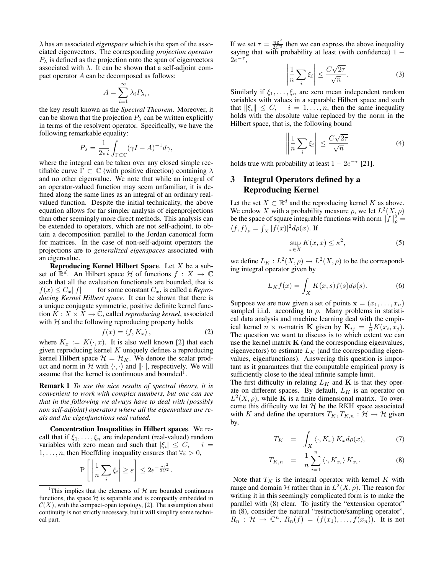λ has an associated *eigenspace* which is the span of the associated eigenvectors. The corresponding *projection operator*  $P_{\lambda}$  is defined as the projection onto the span of eigenvectors associated with  $\lambda$ . It can be shown that a self-adjoint compact operator A can be decomposed as follows:

$$
A = \sum_{i=1}^{\infty} \lambda_i P_{\lambda_i},
$$

the key result known as the *Spectral Theorem*. Moreover, it can be shown that the projection  $P_{\lambda}$  can be written explicitly in terms of the resolvent operator. Specifically, we have the following remarkable equality:

$$
P_{\lambda} = \frac{1}{2\pi i} \int_{\Gamma \subset \mathbb{C}} (\gamma I - A)^{-1} d\gamma,
$$

where the integral can be taken over any closed simple rectifiable curve  $\Gamma \subset \mathbb{C}$  (with positive direction) containing  $\lambda$ and no other eigenvalue. We note that while an integral of an operator-valued function may seem unfamiliar, it is defined along the same lines as an integral of an ordinary realvalued function. Despite the initial technicality, the above equation allows for far simpler analysis of eigenprojections than other seemingly more direct methods. This analysis can be extended to operators, which are not self-adjoint, to obtain a decomposition parallel to the Jordan canonical form for matrices. In the case of non-self-adjoint operators the projections are to *generalized eigenspaces* associated with an eigenvalue.

Reproducing Kernel Hilbert Space. Let  $X$  be a subset of  $\mathbb{R}^d$ . An Hilbert space H of functions  $f : X \to \mathbb{C}$ such that all the evaluation functionals are bounded, that is  $f(x) \leq C_x ||f||$  for some constant  $C_x$ , is called a *Reproducing Kernel Hilbert space*. It can be shown that there is a unique conjugate symmetric, positive definite kernel function  $K: X \times X \to \mathbb{C}$ , called *reproducing kernel*, associated with  $H$  and the following reproducing property holds

$$
f(x) = \langle f, K_x \rangle, \tag{2}
$$

where  $K_x := K(\cdot, x)$ . It is also well known [2] that each given reproducing kernel  $K$  uniquely defines a reproducing kernel Hilbert space  $\mathcal{H} = \mathcal{H}_K$ . We denote the scalar product and norm in H with  $\langle \cdot, \cdot \rangle$  and  $\|\cdot\|$ , respectively. We will assume that the kernel is continuous and bounded<sup>1</sup>.

Remark 1 *To use the nice results of spectral theory, it is convenient to work with complex numbers, but one can see that in the following we always have to deal with (possibly non self-adjoint) operators where all the eigenvalues are reals and the eigenfunctions real valued.*

Concentration Inequalities in Hilbert spaces. We recall that if  $\xi_1, \ldots, \xi_n$  are independent (real-valued) random variables with zero mean and such that  $|\xi_i| \leq C$ ,  $i =$ 1, . . . , *n*, then Hoeffding inequality ensures that  $\forall \varepsilon > 0$ ,

$$
\mathbf{P}\left[\left|\frac{1}{n}\sum_{i}\xi_{i}\right| \geq \varepsilon\right] \leq 2e^{-\frac{n\varepsilon^{2}}{2C^{2}}}.
$$

If we set  $\tau = \frac{n \varepsilon^2}{2C^2}$  then we can express the above inequality saying that with probability at least (with confidence)  $1 2e^{-\tau}$ ,  $\begin{array}{ccc} \begin{array}{ccc} \end{array} \\ \begin{array}{ccc} \end{array} \end{array}$ √

$$
\left|\frac{1}{n}\sum_{i}\xi_{i}\right| \leq \frac{C\sqrt{2\tau}}{\sqrt{n}}.\tag{3}
$$

Similarly if  $\xi_1, \ldots, \xi_n$  are zero mean independent random variables with values in a separable Hilbert space and such that  $\|\xi_i\| \leq C$ ,  $i = 1, \ldots, n$ , then the same inequality holds with the absolute value replaced by the norm in the Hilbert space, that is, the following bound

$$
\left\| \frac{1}{n} \sum_{i} \xi_{i} \right\| \leq \frac{C\sqrt{2\tau}}{\sqrt{n}} \tag{4}
$$

holds true with probability at least  $1 - 2e^{-\tau}$  [21].

# 3 Integral Operators defined by a Reproducing Kernel

Let the set  $X \subset \mathbb{R}^d$  and the reproducing kernel K as above. We endow X with a probability measure  $\rho$ , we let  $L^2(X, \rho)$ be the space of square integrable functions with norm  $||f||_{\rho}^2 =$  $\langle f, f \rangle_{\rho} = \int_X |f(x)|^2 d\rho(x)$ . If

$$
\sup_{x \in X} K(x, x) \le \kappa^2,\tag{5}
$$

we define  $L_K: L^2(X,\rho) \to L^2(X,\rho)$  to be the corresponding integral operator given by

$$
L_K f(x) = \int_X K(x, s) f(s) d\rho(s).
$$
 (6)

Suppose we are now given a set of points  $\mathbf{x} = (x_1, \dots, x_n)$ sampled i.i.d. according to  $\rho$ . Many problems in statistical data analysis and machine learning deal with the empirical kernel  $n \times n$ -matrix **K** given by  $\mathbf{K}_{ij} = \frac{1}{n}K(x_i, x_j)$ . The question we want to discuss is to which extent we can use the kernel matrix  $K$  (and the corresponding eigenvalues, eigenvectors) to estimate  $L_K$  (and the corresponding eigenvalues, eigenfunctions). Answering this question is important as it guarantees that the computable empirical proxy is sufficiently close to the ideal infinite sample limit.

The first difficulty in relating  $L_K$  and  $\bf{K}$  is that they operate on different spaces. By default,  $L_K$  is an operator on  $L^2(X, \rho)$ , while **K** is a finite dimensional matrix. To overcome this difficulty we let  $H$  be the RKH space associated with K and define the operators  $T_K, T_{K,n} : \mathcal{H} \to \mathcal{H}$  given by,

$$
T_K = \int_X \langle \cdot, K_x \rangle K_x d\rho(x), \tag{7}
$$

$$
T_{K,n} = \frac{1}{n} \sum_{i=1}^{n} \langle \cdot, K_{x_i} \rangle K_{x_i}.
$$
 (8)

Note that  $T_K$  is the integral operator with kernel K with range and domain H rather than in  $L^2(X, \rho)$ . The reason for writing it in this seemingly complicated form is to make the parallel with (8) clear. To justify the "extension operator" in (8), consider the natural "restriction/sampling operator",  $R_n$ :  $\mathcal{H} \to \mathbb{C}^n$ ,  $R_n(f) = (f(x_1), \ldots, f(x_n))$ . It is not

<sup>&</sup>lt;sup>1</sup>This implies that the elements of  $H$  are bounded continuous functions, the space  $H$  is separable and is compactly embedded in  $C(X)$ , with the compact-open topology, [2]. The assumption about continuity is not strictly necessary, but it will simplify some technical part.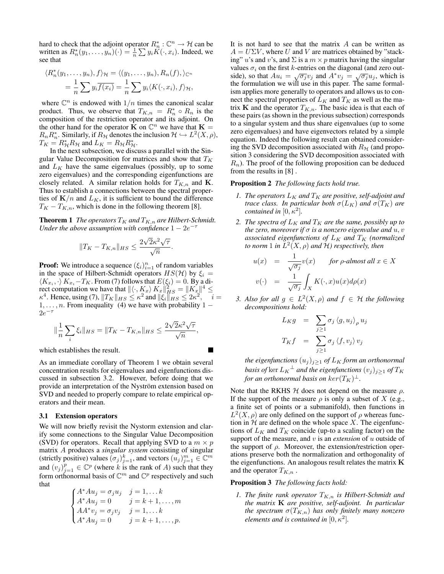hard to check that the adjoint operator  $R_n^*: \mathbb{C}^n \to \mathcal{H}$  can be written as  $R_n^*(y_1, \ldots, y_n)(\cdot) = \frac{1}{n} \sum y_i K(\cdot, x_i)$ . Indeed, we see that

$$
\langle R_n^*(y_1,\ldots,y_n),f\rangle_{\mathcal{H}} = \langle (y_1,\ldots,y_n),R_n(f),\rangle_{\mathbb{C}^n}
$$
  
= 
$$
\frac{1}{n}\sum y_i\overline{f(x_i)} = \frac{1}{n}\sum y_i\langle K(\cdot,x_i),f\rangle_{\mathcal{H}},
$$

where  $\mathbb{C}^n$  is endowed with  $1/n$  times the canonical scalar product. Thus, we observe that  $T_{K,n} = R_n^* \circ R_n$  is the composition of the restriction operator and its adjoint. On the other hand for the operator  $\mathbf{\dot{K}}$  on  $\mathbb{C}^n$  we have that  $\mathbf{K} =$  $R_n R_n^*$ . Similarly, if  $R_H$  denotes the inclusion  $\mathcal{H} \hookrightarrow L^2(X,\rho)$ ,  $T_K = R_{\mathcal{H}}^* R_{\mathcal{H}}$  and  $L_K = R_{\mathcal{H}} R_{\mathcal{H}}^*$ .

In the next subsection, we discuss a parallel with the Singular Value Decomposition for matrices and show that  $T_K$ and  $L_K$  have the same eigenvalues (possibly, up to some zero eigenvalues) and the corresponding eigenfunctions are closely related. A similar relation holds for  $T_{K,n}$  and **K**. Thus to establish a connections between the spectral properties of  $K/n$  and  $L_K$ , it is sufficient to bound the difference  $T_K - T_{K,n}$ , which is done in the following theorem [8].

**Theorem 1** *The operators*  $T_K$  *and*  $T_{K,n}$  *are Hilbert-Schmidt.* Under the above assumption with confidence  $1 - 2e^{-\tau}$ 

$$
||T_K - T_{K,n}||_{HS} \le \frac{2\sqrt{2}\kappa^2\sqrt{\tau}}{\sqrt{n}}.
$$

**Proof:** We introduce a sequence  $(\xi_i)_{i=1}^n$  of random variables in the space of Hilbert-Schmidt operators  $HS(\mathcal{H})$  by  $\xi_i =$  $\langle K_{x_i}, \cdot \rangle K_{x_i} - T_K$ . From (7) follows that  $E(\xi_i) = 0$ . By a direct computation we have that  $\|\langle \cdot, K_x \rangle K_x\|_{HS}^2 = \|K_x\|^4 \le$  $\kappa^4$ . Hence, using (7),  $||T_K||_{HS} \leq \kappa^2$  and  $||\xi_i||_{HS} \leq 2\kappa^2$  $i =$  $1, \ldots, n$ . From inequality (4) we have with probability  $1 2e^{-\tau}$ 

$$
\|\frac{1}{n}\sum_{i}\xi_{i}\|_{HS} = \|T_{K} - T_{K,n}\|_{HS} \le \frac{2\sqrt{2}\kappa^{2}\sqrt{\tau}}{\sqrt{n}},
$$

П

which establishes the result.

As an immediate corollary of Theorem 1 we obtain several concentration results for eigenvalues and eigenfunctions discussed in subsection 3.2. However, before doing that we provide an interpretation of the Nyström extension based on SVD and needed to properly compare to relate empirical operators and their mean.

#### 3.1 Extension operators

We will now briefly revisit the Nystorm extension and clarify some connections to the Singular Value Decomposition (SVD) for operators. Recall that applying SVD to a  $m \times p$ matrix A produces a *singular system* consisting of singular (strictly positive) values  $(\sigma_j)_{j=1}^k$ , and vectors  $(u_j)_{j=1}^m \in \mathbb{C}^m$ and  $(v_j)_{j=1}^p \in \mathbb{C}^p$  (where k is the rank of A) such that they form orthonormal basis of  $\mathbb{C}^m$  and  $\mathbb{C}^p$  respectively and such that

$$
\begin{cases} A^* A u_j = \sigma_j u_j & j = 1, \dots k \\ A^* A u_j = 0 & j = k + 1, \dots, m \\ A A^* v_j = \sigma_j v_j & j = 1, \dots k \\ A^* A u_j = 0 & j = k + 1, \dots, p. \end{cases}
$$

It is not hard to see that the matrix  $A$  can be written as  $A = U\Sigma V$ , where U and V are matrices obtained by "stacking" *u*'s and *v*'s, and  $\Sigma$  is a  $m \times p$  matrix having the singular values  $\sigma_i$  on the first k-entries on the diagonal (and zero outvalues  $\sigma_i$  of the first *k*-churcs on the diagonal (and zero out-<br>side), so that  $Au_i = \sqrt{\sigma_j} v_j$  and  $A^* v_j = \sqrt{\sigma_j} u_j$ , which is the formulation we will use in this paper. The same formalism applies more generally to operators and allows us to connect the spectral properties of  $L_K$  and  $T_K$  as well as the matrix K and the operator  $T_{K,n}$ . The basic idea is that each of these pairs (as shown in the previous subsection) corresponds to a singular system and thus share eigenvalues (up to some zero eigenvalues) and have eigenvectors related by a simple equation. Indeed the following result can obtained considering the SVD decomposition associated with  $R<sub>H</sub>$  (and proposition 3 considering the SVD decomposition associated with  $R_n$ ). The proof of the following proposition can be deduced from the results in [8] .

### Proposition 2 *The following facts hold true.*

- *1. The operators*  $L_K$  *and*  $T_K$  *are positive, self-adjoint and trace class. In particular both*  $\sigma(L_K)$  *and*  $\sigma(T_K)$  *are contained in*  $[0, \kappa^2]$ *.*
- *2. The spectra of*  $L_K$  *and*  $T_K$  *are the same, possibly up to the zero, moreover if*  $\sigma$  *is a nonzero eigenvalue and*  $u, v$ associated eigenfunctions of  $L_K$  and  $T_K$  (normalized to norm 1 in  $\overline{L}^2(X,\rho)$  and  $\mathcal{H}$ ) respectively, then

$$
u(x) = \frac{1}{\sqrt{\sigma_j}} v(x) \quad \text{for } \rho\text{-almost all } x \in X
$$

$$
v(\cdot) = \frac{1}{\sqrt{\sigma_j}} \int_X K(\cdot, x) u(x) d\rho(x)
$$

*3. Also for all*  $g \in L^2(X, \rho)$  *and*  $f \in H$  *the following decompositions hold:*

$$
L_K g = \sum_{j\geq 1} \sigma_j \langle g, u_j \rangle_\rho u_j
$$
  

$$
T_K f = \sum_{j\geq 1} \sigma_j \langle f, v_j \rangle v_j
$$

*the eigenfunctions*  $(u_i)_{i\geq 1}$  *of*  $L_K$  *form an orthonormal*  $\emph{basis of} \rm{ker} \, L_K^{\perp}$  and the eigenfunctions  $(v_j)_{j\geq 1}$  of  $T_K$ for an orthonormal basis on  $ker(T_K)^\perp$ .

Note that the RKHS  $H$  does not depend on the measure  $\rho$ . If the support of the measure  $\rho$  is only a subset of X (e.g., a finite set of points or a submanifold), then functions in  $L^2(X, \rho)$  are only defined on the support of  $\rho$  whereas function in  $H$  are defined on the whole space X. The eigenfunctions of  $L_K$  and  $T_K$  coincide (up-to a scaling factor) on the support of the measure, and v is an *extension* of u outside of the support of  $\rho$ . Moreover, the extension/restriction operations preserve both the normalization and orthogonality of the eigenfunctions. An analogous result relates the matrix  $\bf{K}$ and the operator  $T_{K,n}$ .

#### Proposition 3 *The following facts hold:*

*1. The finite rank operator*  $T_{K,n}$  *is Hilbert-Schmidt and the matrix* K *are positive, self-adjoint. In particular the spectrum*  $\sigma(T_{K,n})$  *has only finitely many nonzero elements and is contained in*  $[0, \kappa^2]$ *.*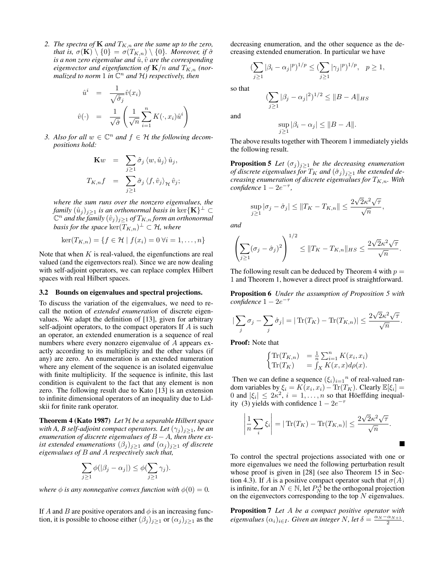*2. The spectra of* **K** *and*  $T_{K,n}$  *are the same up to the zero, that is,*  $\sigma(\mathbf{K}) \setminus \{0\} = \sigma(T_{K,n}) \setminus \{0\}$ *. Moreover, if*  $\hat{\sigma}$ *is a non zero eigenvalue and*  $\hat{u}$ ,  $\hat{v}$  *are the corresponding eigenvector and eigenfunction of*  $K/n$  *and*  $T_{K,n}$  *(normalized to norm* 1 *in* C <sup>n</sup> *and* H*) respectively, then*

$$
\hat{u}^i = \frac{1}{\sqrt{\hat{\sigma}_j}} \hat{v}(x_i)
$$

$$
\hat{v}(\cdot) = \frac{1}{\sqrt{\hat{\sigma}}} \left( \frac{1}{\sqrt{n}} \sum_{i=1}^n K(\cdot, x_i) \hat{u}^i \right)
$$

*3. Also for all*  $w \in \mathbb{C}^n$  *and*  $f \in \mathcal{H}$  *the following decompositions hold:*

$$
\mathbf{K}w = \sum_{j\geq 1} \hat{\sigma}_j \langle w, \hat{u}_j \rangle \hat{u}_j,
$$
  

$$
T_{K,n}f = \sum_{j\geq 1} \hat{\sigma}_j \langle f, \hat{v}_j \rangle_{\mathcal{H}} \hat{v}_j;
$$

*where the sum runs over the nonzero eigenvalues, the*  $f$ amily  $(\hat{u}_j)_{j\geq 1}$  is an orthonormal basis in  $\ker\{\mathbf{K}\}^{\perp}\subset \mathbb{R}$  $(\mathbb{C}^n$  and the family  $(\hat{v}_j)_{j\geq 1}$  of  $T_{K,n}$  form an orthonormal  $\mathit{basis}$  for the space  $\ker(T_{K,n})^\perp \subset \mathcal{H}$ , where

$$
\ker(T_{K,n}) = \{ f \in \mathcal{H} \mid f(x_i) = 0 \,\forall i = 1,\ldots,n \}
$$

Note that when  $K$  is real-valued, the eigenfunctions are real valued (and the eigenvectors real). Since we are now dealing with self-adjoint operators, we can replace complex Hilbert spaces with real Hilbert spaces.

#### 3.2 Bounds on eigenvalues and spectral projections.

To discuss the variation of the eigenvalues, we need to recall the notion of *extended enumeration* of discrete eigenvalues. We adapt the definition of [13], given for arbitrary self-adjoint operators, to the compact operators If A is such an operator, an extended enumeration is a sequence of real numbers where every nonzero eigenvalue of A appears exactly according to its multiplicity and the other values (if any) are zero. An enumeration is an extended numeration where any element of the sequence is an isolated eigenvalue with finite multiplicity. If the sequence is infinite, this last condition is equivalent to the fact that any element is non zero. The following result due to Kato [13] is an extension to infinite dimensional operators of an inequality due to Lidskii for finite rank operator.

Theorem 4 (Kato 1987) *Let* H *be a separable Hilbert space with A, B self-adjoint compact operators. Let*  $(\gamma_i)_{i>1}$ *, be an enumeration of discrete eigenvalues of* B − A*, then there exist extended enumerations*  $(\beta_j)_{j\geq 1}$  *and*  $(\alpha_j)_{j\geq 1}$  *of discrete eigenvalues of* B *and* A *respectively such that,*

$$
\sum_{j\geq 1}\phi(|\beta_j-\alpha_j|)\leq \phi(\sum_{j\geq 1}\gamma_j).
$$

*where*  $\phi$  *is any nonnegative convex function with*  $\phi(0) = 0$ *.* 

If A and B are positive operators and  $\phi$  is an increasing function, it is possible to choose either  $(\beta_j)_{j\geq 1}$  or  $(\alpha_j)_{j\geq 1}$  as the decreasing enumeration, and the other sequence as the decreasing extended enumeration. In particular we have

$$
\left(\sum_{j\geq 1}|\beta_i-\alpha_j|^p\right)^{1/p}\leq \left(\sum_{j\geq 1}|\gamma_j|^p\right)^{1/p}, \quad p\geq 1,
$$

so that

$$
\left(\sum_{j\geq 1}|\beta_j-\alpha_j|^2\right)^{1/2}\leq\|B-A\|_{HS}
$$

and

$$
\sup_{j\geq 1} |\beta_i - \alpha_j| \leq \|B - A\|.
$$

The above results together with Theorem 1 immediately yields the following result.

**Proposition 5** *Let*  $(\sigma_j)_{j\geq 1}$  *be the decreasing enumeration of discrete eigenvalues for*  $T_K$  *and*  $(\hat{\sigma}_j)_{j>1}$  *the extended decreasing enumeration of discrete eigenvalues for*  $T_{K,n}$ *. With*  $confidence 1 - 2e^{-\tau}$ ,

$$
\sup_{j\geq 1} |\sigma_j - \hat{\sigma}_j| \leq ||T_K - T_{K,n}|| \leq \frac{2\sqrt{2}\kappa^2\sqrt{\tau}}{\sqrt{n}},
$$

*and*

$$
\left(\sum_{j\geq 1}(\sigma_j-\hat{\sigma}_j)^2\right)^{1/2}\leq \|T_K-T_{K,n}\|_{HS}\leq \frac{2\sqrt{2}\kappa^2\sqrt{\tau}}{\sqrt{n}}.
$$

The following result can be deduced by Theorem 4 with  $p =$ 1 and Theorem 1, however a direct proof is straightforward.

Proposition 6 *Under the assumption of Proposition 5 with confidence* 1 − 2e −τ

$$
\left|\sum_{j} \sigma_{j} - \sum_{j} \hat{\sigma}_{j}\right| = \left|\operatorname{Tr}(T_{K}) - \operatorname{Tr}(T_{K,n})\right| \leq \frac{2\sqrt{2}\kappa^{2}\sqrt{\tau}}{\sqrt{n}}.
$$

Proof: Note that

$$
\begin{cases}\n\operatorname{Tr}(T_{K,n}) &= \frac{1}{n} \sum_{i=1}^{n} K(x_i, x_i) \\
\operatorname{Tr}(T_K) &= \int_X K(x, x) d\rho(x).\n\end{cases}
$$

Then we can define a sequence  $(\xi_i)_{i=1}^n$  of real-valued random variables by  $\xi_i = K(x_i, x_i) - \text{Tr}(T_K)$ . Clearly  $\mathbb{E}[\xi_i] =$ 0 and  $|\xi_i| \leq 2\kappa^2$ ,  $i = 1, ..., n$  so that Höeffding inequality (3) yields with confidence  $1 - 2e^{-\tau}$ 

$$
\left|\frac{1}{n}\sum_{i}\xi_{i}\right| = |\operatorname{Tr}(T_{K}) - \operatorname{Tr}(T_{K,n})| \leq \frac{2\sqrt{2}\kappa^{2}\sqrt{\tau}}{\sqrt{n}}.
$$

To control the spectral projections associated with one or more eigenvalues we need the following perturbation result whose proof is given in [28] (see also Theorem 15 in Section 4.3). If A is a positive compact operator such that  $\sigma(A)$ is infinite, for an  $N \in \mathbb{N}$ , let  $P_N^A$  be the orthogonal projection on the eigenvectors corresponding to the top  $N$  eigenvalues.

Proposition 7 *Let* A *be a compact positive operator with eigenvalues*  $(\alpha_i)_{i \in I}$ *. Given an integer* N, let  $\delta = \frac{\alpha_N - \alpha_{N+1}}{2}$ *.*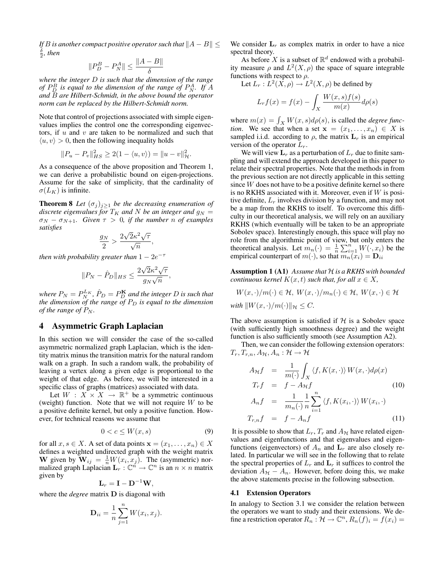*If B is another compact positive operator such that*  $||A - B|| \le$  $\frac{\delta}{2}$ , then

$$
||P_D^B - P_N^A|| \le \frac{||A - B||}{\delta}
$$

*where the integer* D *is such that the dimension of the range of*  $P_D^B$  is equal to the dimension of the range of  $P_N^A$ . If A *and* B *are Hilbert-Schmidt, in the above bound the operator norm can be replaced by the Hilbert-Schmidt norm.*

Note that control of projections associated with simple eigenvalues implies the control one the corresponding eigenvectors, if  $u$  and  $v$  are taken to be normalized and such that  $\langle u, v \rangle > 0$ , then the following inequality holds

$$
||P_u - P_v||_{HS}^2 \ge 2(1 - \langle u, v \rangle) = ||u - v||_H^2.
$$

As a consequence of the above proposition and Theorem 1, we can derive a probabilistic bound on eigen-projections. Assume for the sake of simplicity, that the cardinality of  $\sigma(L_K)$  is infinite.

**Theorem 8** *Let*  $(\sigma_j)_{j>1}$  *be the decreasing enumeration of discrete eigenvalues for*  $T_K$  *and* N *be an integer and*  $g_N =$  $\sigma_N - \sigma_{N+1}$ . Given  $\tau > 0$ , if the number n of examples *satisfies* √

$$
\frac{g_N}{2} > \frac{2\sqrt{2}\kappa^2\sqrt{\tau}}{\sqrt{n}},
$$

*then with probability greater than* 1 − 2*e*<sup>-*τ*</sup>

$$
||P_N - \hat{P}_D||_{HS} \le \frac{2\sqrt{2}\kappa^2\sqrt{\tau}}{g_N\sqrt{n}},
$$

where  $P_N = P_N^{L_K}$ ,  $\hat{P}_D = P_D^{\mathbf{K}}$  and the integer  $D$  is such that *the dimension of the range of*  $P_D$  *is equal to the dimension of the range of*  $P_N$ *.* 

# 4 Asymmetric Graph Laplacian

In this section we will consider the case of the so-called asymmetric normalized graph Laplacian, which is the identity matrix minus the transition matrix for the natural random walk on a graph. In such a random walk, the probability of leaving a vertex along a given edge is proportional to the weight of that edge. As before, we will be interested in a specific class of graphs (matrices) associated with data.

Let  $W : X \times X \rightarrow \mathbb{R}^+$  be a symmetric continuous (weight) function. Note that we will not require  $W$  to be a positive definite kernel, but only a positive function. However, for technical reasons we assume that

$$
0 < c \le W(x, s) \tag{9}
$$

for all  $x, s \in X$ . A set of data points  $\mathbf{x} = (x_1, \dots, x_n) \in X$ defines a weighted undirected graph with the weight matrix W given by  $\mathbf{W}_{ij} = \frac{1}{n}W(x_i, x_j)$ . The (asymmetric) normalized graph Laplacian  $\mathbf{L}_r : \mathbb{C}^n \to \mathbb{C}^n$  is an  $n \times n$  matrix given by

$$
\mathbf{L}_r = \mathbf{I} - \mathbf{D}^{-1} \mathbf{W},
$$

where the *degree* matrix D is diagonal with

$$
\mathbf{D}_{ii} = \frac{1}{n} \sum_{j=1}^{n} W(x_i, x_j).
$$

We consider  $L_r$  as complex matrix in order to have a nice spectral theory.

As before X is a subset of  $\mathbb{R}^d$  endowed with a probability measure  $\rho$  and  $L^2(X, \rho)$  the space of square integrable functions with respect to  $\rho$ .

Let  $L_r: L^2(\hat{X}, \rho) \to L^2(X, \rho)$  be defined by

$$
L_r f(x) = f(x) - \int_X \frac{W(x, s) f(s)}{m(x)} d\rho(s)
$$

where  $m(x) = \int_X W(x, s) d\rho(s)$ , is called the *degree function*. We see that when a set  $x = (x_1, \ldots, x_n) \in X$  is sampled i.i.d. according to  $\rho$ , the matrix  $\mathbf{L}_r$  is an empirical version of the operator  $L_r$ .

We will view  $L_r$  as a perturbation of  $L_r$  due to finite sampling and will extend the approach developed in this paper to relate their spectral properties. Note that the methods in from the previous section are not directly applicable in this setting since W does not have to be a positive definite kernel so there is no RKHS associated with it. Moreover, even if  $W$  is positive definite,  $L_r$  involves division by a function, and may not be a map from the RKHS to itself. To overcome this difficulty in our theoretical analysis, we will rely on an auxiliary RKHS (which eventually will be taken to be an appropriate Sobolev space). Interestingly enough, this space will play no role from the algorithmic point of view, but only enters the theoretical analysis. Let  $m_n(\cdot) = \frac{1}{n} \sum_{i=1}^n W(\cdot, x_i)$  be the empirical counterpart of  $m(\cdot)$ , so that  $m_n(x_i) = \mathbf{D}_{ii}$ 

Assumption 1 (A1) *Assume that* H *is a RKHS with bounded continuous kernel*  $K(x, t)$  *such that, for all*  $x \in X$ *,* 

$$
W(x, \cdot)/m(\cdot) \in \mathcal{H}, W(x, \cdot)/m_n(\cdot) \in \mathcal{H}, W(x, \cdot) \in \mathcal{H}
$$
  
with  $||W(x, \cdot)/m(\cdot)||_{\mathcal{H}} \leq C$ .

The above assumption is satisfied if  $H$  is a Sobolev space (with sufficiently high smoothness degree) and the weight function is also sufficiently smooth (see Assumption A2).

Then, we can consider the following extension operators:  $T_r, T_{r,n}, A_{\mathcal{H}}, A_n : \mathcal{H} \to \mathcal{H}$ 

$$
A_{\mathcal{H}}f = \frac{1}{m(\cdot)} \int_X \langle f, K(x, \cdot) \rangle W(x, \cdot) d\rho(x)
$$
  

$$
T_r f = f - A_{\mathcal{H}}f
$$
 (10)

$$
A_n f = \frac{1}{m_n(\cdot)} \frac{1}{n} \sum_{i=1}^n \langle f, K(x_i, \cdot) \rangle W(x_i, \cdot)
$$
  

$$
T_{r,n} f = f - A_n f
$$
 (11)

It is possible to show that  $L_r$ ,  $T_r$  and  $A_{\mathcal{H}}$  have related eigenvalues and eigenfunctions and that eigenvalues and eigenfunctions (eigenvectors) of  $A_n$  and  $L_r$  are also closely related. In particular we will see in the following that to relate the spectral properties of  $L_r$  and  $\mathbf{L}_r$  it suffices to control the deviation  $A_{H} - A_{n}$ . However, before doing this, we make the above statements precise in the following subsection.

#### 4.1 Extension Operators

In analogy to Section 3.1 we consider the relation between the operators we want to study and their extensions. We define a restriction operator  $R_n$ :  $\mathcal{H} \to \mathbb{C}^n$ ,  $R_n(f)_i = f(x_i) =$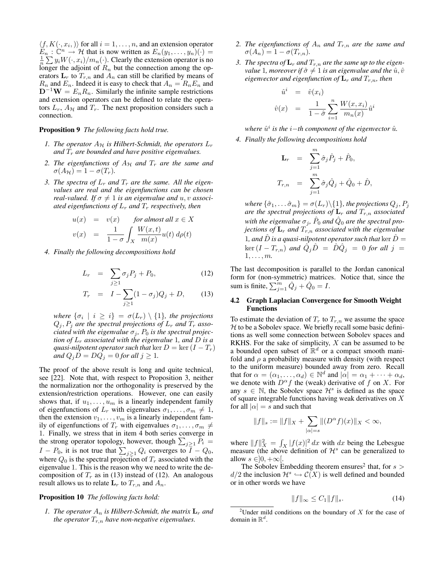$\langle f, K(\cdot, x_i, \cdot) \rangle$  for all  $i = 1, \dots, n$ , and an extension operator  $E_n : \mathbb{C}^n \to \mathcal{H}$  that is now written as  $E_n(y_1, \ldots, y_n)(\cdot) =$  $\frac{1}{n} \sum y_i W(\cdot, x_i) / m_n(\cdot)$ . Clearly the extension operator is no longer the adjoint of  $R_n$  but the connection among the operators  $\mathbf{L}_r$  to  $T_{r,n}$  and  $A_n$  can still be clarified by means of  $R_n$  and  $E_n$ . Indeed it is easy to check that  $A_n = R_n E_n$  and  $D^{-1}W = E_n R_n$ . Similarly the infinite sample restrictions and extension operators can be defined to relate the operators  $L_r$ ,  $A_H$  and  $T_r$ . The next proposition considers such a connection.

### Proposition 9 *The following facts hold true.*

- *1. The operator*  $A_H$  *is Hilbert-Schmidt, the operators*  $L_r$ and  $T_r$  are bounded and have positive eigenvalues.
- 2. The eigenfunctions of  $A_H$  and  $T_r$  are the same and  $\sigma(A_{\mathcal{H}}) = 1 - \sigma(T_r).$
- 3. The spectra of  $L_r$  and  $T_r$  are the same. All the eigen*values are real and the eigenfunctions can be chosen real-valued.* If  $\sigma \neq 1$  *is an eigenvalue and* u, v *associated eigenfunctions of*  $L_r$  *and*  $T_r$  *respectively, then*

$$
u(x) = v(x) \quad \text{for almost all } x \in X
$$
  

$$
v(x) = \frac{1}{1-\sigma} \int_X \frac{W(x,t)}{m(x)} u(t) d\rho(t)
$$

*4. Finally the following decompositions hold*

$$
L_r = \sum_{j\geq 1} \sigma_j P_j + P_0, \qquad (12)
$$

$$
T_r = I - \sum_{j \ge 1} (1 - \sigma_j) Q_j + D, \qquad (13)
$$

*where*  $\{\sigma_i \mid i \geq i\} = \sigma(L_r) \setminus \{1\}$ , the projections  $Q_j$ ,  $P_j$  *are the spectral projections of*  $L_r$  *and*  $T_r$  *associated with the eigenvalue*  $\sigma_i$ ,  $P_0$  *is the spectral projection of*  $L_r$  *associated with the eigenvalue* 1*, and* D *is a quasi-nilpotent operator such that* ker  $D = \text{ker} (I - T_r)$ *and*  $Q_j D = DQ_j = 0$  *for all*  $j \geq 1$ *.* 

The proof of the above result is long and quite technical, see [22]. Note that, with respect to Proposition 3, neither the normalization nor the orthogonality is preserved by the extension/restriction operations. However, one can easily shows that, if  $u_1, \ldots, u_m$  is a linearly independent family of eigenfunctions of  $L_r$  with eigenvalues  $\sigma_1, \ldots, \sigma_m \neq 1$ , then the extension  $v_1, \ldots, v_m$  is a linearly independent family of eigenfunctions of  $T_r$  with eigenvalues  $\sigma_1, \ldots, \sigma_m \neq$ 1. Finally, we stress that in item 4 both series converge in the strong operator topology, however, though  $\sum_{j\geq 1} P_i$  =  $I - P_0$ , it is not true that  $\sum_{j \geq 1} Q_i$  converges to  $I - Q_0$ , where  $Q_0$  is the spectral projection of  $T_r$  associated with the eigenvalue 1. This is the reason why we need to write the decomposition of  $T_r$  as in (13) instead of (12). An analogous result allows us to relate  $\mathbf{L}_r$  to  $T_{r,n}$  and  $A_n$ .

### Proposition 10 *The following facts hold:*

*1. The operator*  $A_n$  *is Hilbert-Schmidt, the matrix*  $L_r$  *and the operator*  $T_{r,n}$  *have non-negative eigenvalues.* 

- 2. The eigenfunctions of  $A_n$  and  $T_{r,n}$  are the same and  $\sigma(A_n) = 1 - \sigma(T_{r,n}).$
- 3. The spectra of  $\mathbf{L}_r$  and  $T_{r,n}$  are the same up to the eigen*value* 1*, moreover if*  $\hat{\sigma} \neq 1$  *is an eigenvalue and the*  $\hat{u}, \hat{v}$ *eigenvector and eigenfunction of*  $\mathbf{L}_r$  *and*  $T_{r,n}$ *, then*

$$
\hat{u}^i = \hat{v}(x_i)
$$
  

$$
\hat{v}(x) = \frac{1}{1-\hat{\sigma}} \sum_{i=1}^n \frac{W(x, x_i)}{m_n(x)} \hat{u}^i
$$

 $where \,\,\hat{u}^i$  is the  $i$ −th component of the eigenvector  $\hat{u}$ *.* 

*4. Finally the following decompositions hold*

$$
\mathbf{L}_r = \sum_{j=1}^m \hat{\sigma}_j \hat{P}_j + \hat{P}_0,
$$
  

$$
T_{r,n} = \sum_{j=1}^m \hat{\sigma}_j \hat{Q}_j + \hat{Q}_0 + \hat{D},
$$

*where*  $\{\hat{\sigma}_1, \dots \hat{\sigma}_m\} = \sigma(L_r) \setminus \{1\}$ *, the projections*  $Q_j$ *,*  $P_j$ *are the spectral projections of*  $L_r$  *and*  $T_{r,n}$  *associated* with the eigenvalue  $\sigma_j$ ,  $\hat{P}_0$  and  $\hat{Q}_0$  are the spectral pro*jections of*  $\mathbf{L}_r$  *and*  $T_{r,n}$  *associated with the eigenvalue* 1, and  $\ddot{D}$  *is a quasi-nilpotent operator such that* ker  $\ddot{D}$  =  $\ker \, (I - T_{r,n})$  and  $\tilde{Q}_j \hat{D} = \hat{D} \hat{Q}_j = 0$  for all  $j = 0$  $1, \ldots, m$ .

The last decomposition is parallel to the Jordan canonical form for (non-symmetric) matrices. Notice that, since the sum is finite,  $\sum_{j=1}^{m} \hat{Q}_j + \hat{Q}_0 = I$ .

### 4.2 Graph Laplacian Convergence for Smooth Weight Functions

To estimate the deviation of  $T_r$  to  $T_{r,n}$  we assume the space  $H$  to be a Sobolev space. We briefly recall some basic definitions as well some connection between Sobolev spaces and RKHS. For the sake of simplicity,  $X$  can be assumed to be a bounded open subset of  $\mathbb{R}^d$  or a compact smooth manifold and  $\rho$  a probability measure with density (with respect to the uniform measure) bounded away from zero. Recall that for  $\alpha = (\alpha_1, \dots, \alpha_d) \in \mathbb{N}^d$  and  $|\alpha| = \alpha_1 + \dots + \alpha_d$ , we denote with  $D^{\alpha} f$  the (weak) derivative of f on X. For any  $s \in \mathbb{N}$ , the Sobolev space  $\mathcal{H}^s$  is defined as the space of square integrable functions having weak derivatives on X for all  $|\alpha| = s$  and such that

$$
||f||_s := ||f||_X + \sum_{|\alpha|=s} ||(D^{\alpha}f)(x)||_X < \infty,
$$

where  $||f||_X^2 = \int_X |f(x)|^2 dx$  with dx being the Lebesgue measure (the above definition of  $\mathcal{H}^s$  can be generalized to allow  $s \in ]0, +\infty[$ .

The Sobolev Embedding theorem ensures<sup>2</sup> that, for  $s >$  $d/2$  the inclusion  $\mathcal{H}^s \hookrightarrow \mathcal{C}(X)$  is well defined and bounded or in other words we have

$$
||f||_{\infty} \le C_1 ||f||_s.
$$
 (14)

<sup>&</sup>lt;sup>2</sup>Under mild conditions on the boundary of X for the case of domain in  $\mathbb{R}^d$ .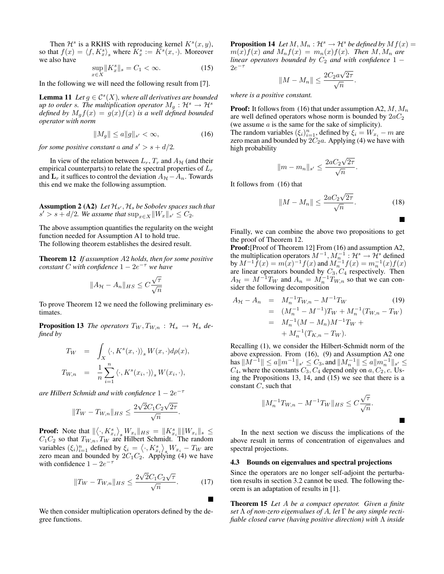Then  $\mathcal{H}^s$  is a RKHS with reproducing kernel  $K^s(x, y)$ , so that  $f(x) = \langle f, K_x^s \rangle_s$  where  $K_x^s := K^s(x, \cdot)$ . Moreover we also have

$$
\sup_{x \in X} \|K_x^s\|_s = C_1 < \infty. \tag{15}
$$

In the following we will need the following result from [7].

**Lemma 11** Let  $g \in C^{s}(X)$ , where all derivatives are bounded *up to order s. The multiplication operator*  $M<sub>g</sub>$  :  $\mathcal{H}^s \to \mathcal{H}^s$ *defined by*  $M_q f(x) = g(x) f(x)$  *is a well defined bounded operator with norm*

$$
||M_g|| \le a||g||_{s'} < \infty,
$$
\n(16)

*for some positive constant* a *and*  $s' > s + d/2$ *.* 

In view of the relation between  $L_r$ ,  $T_r$  and  $A_{H}$  (and their empirical counterparts) to relate the spectral properties of  $L_r$ and  $\mathbf{L}_r$  it suffices to control the deviation  $A_{\mathcal{H}} - A_n$ . Towards this end we make the following assumption.

**Assumption 2 (A2)** Let  $\mathcal{H}_{s'}$ ,  $\mathcal{H}_s$  be Sobolev spaces such that  $s' > s + d/2$ . We assume that  $\sup_{x \in X} ||W_x||_{s'} \leq C_2$ .

The above assumption quantifies the regularity on the weight function needed for Assumption A1 to hold true. The following theorem establishes the desired result.

Theorem 12 *If assumption* A2 *holds, then for some positive constant* C *with confidence* 1 − 2e <sup>−</sup><sup>τ</sup> *we have*

$$
||A_{\mathcal{H}} - A_n||_{HS} \leq C \frac{\sqrt{\tau}}{\sqrt{n}}
$$

To prove Theorem 12 we need the following preliminary estimates.

**Proposition 13** *The operators*  $T_W, T_{W,n} : H_s \rightarrow H_s$  *defined by*

$$
T_W = \int_X \langle \cdot, K^s(x, \cdot) \rangle_s W(x, \cdot) d\rho(x),
$$
  
\n
$$
T_{W,n} = \frac{1}{n} \sum_{i=1}^n \langle \cdot, K^s(x_i, \cdot) \rangle_s W(x_i, \cdot),
$$

*are Hilbert Schmidt and with confidence* 1 − 2*e*<sup>-τ</sup>

$$
||T_W - T_{W,n}||_{HS} \le \frac{2\sqrt{2}C_1C_2\sqrt{2\tau}}{\sqrt{n}}.
$$

**Proof:** Note that  $\left\| \left\langle \cdot, K_{x_i}^s \right\rangle_s W_{x_i} \right\|_{HS} = \left\| K_{x_i}^s \right\| \left\| W_{x_i} \right\|_s \le$  $C_1C_2$  so that  $T_{W,n}, T_W$  are Hilbert Schmidt. The random variables  $(\xi_i)_{i=1}^n$  defined by  $\xi_i = \langle \cdot, K_{x_i}^s \rangle_s W_{x_i} - T_W$  are zero mean and bounded by  $2C_1C_2$ . Applying (4) we have with confidence  $1 - 2e^{-\tau}$ 

$$
||T_W - T_{W,n}||_{HS} \le \frac{2\sqrt{2}C_1C_2\sqrt{\tau}}{\sqrt{n}}.
$$
 (17)

We then consider multiplication operators defined by the degree functions.

**Proposition 14** Let M,  $M_n : \mathcal{H}^s \to \mathcal{H}^s$  be defined by  $Mf(x) =$  $m(x)f(x)$  and  $M_nf(x) = m_n(x)f(x)$ . Then  $M, M_n$  are *linear operators bounded by*  $C_2$  *and with confidence* 1 −  $2e^{-\tau}$ √

$$
||M - M_n|| \le \frac{2C_2 a \sqrt{2\tau}}{\sqrt{n}}.
$$

*where is a positive constant.*

**Proof:** It follows from (16) that under assumption A2,  $M$ ,  $M_n$ are well defined operators whose norm is bounded by  $2aC_2$ (we assume  $a$  is the same for the sake of simplicity).

The random variables  $(\xi_i)_{i=1}^n$ , defined by  $\xi_i = W_{x_i} - m$  are zero mean and bounded by  $2C_2a$ . Applying (4) we have with high probability

$$
||m - m_n||_{s'} \le \frac{2aC_2\sqrt{2\tau}}{\sqrt{n}}.
$$

It follows from (16) that

$$
||M - M_n|| \le \frac{2aC_2\sqrt{2\tau}}{\sqrt{n}}.
$$
 (18)

Finally, we can combine the above two propositions to get the proof of Theorem 12.

Proof: [Proof of Theorem 12] From (16) and assumption A2, the multiplication operators  $M^{-1}$ ,  $M_n^{-1}$  :  $\mathcal{H}^s \to \mathcal{H}^s$  defined by  $M^{-1}\hat{f}(x) = m(x)^{-1}f(x)$  and  $M_n^{-1}f(x) = m_n^{-1}(x)f(x)$ are linear operators bounded by  $C_3, C_4$  respectively. Then  $A_{\mathcal{H}} = M^{-1}T_W$  and  $A_n = M_n^{-1}T_{W,n}$  so that we can consider the following decomposition

$$
A_{\mathcal{H}} - A_n = M_n^{-1} T_{W,n} - M^{-1} T_W
$$
\n
$$
= (M_n^{-1} - M^{-1}) T_W + M_n^{-1} (T_{W,n} - T_W)
$$
\n
$$
= M_n^{-1} (M - M_n) M^{-1} T_W + M_n^{-1} (T_{K,n} - T_W).
$$
\n(19)

Recalling (1), we consider the Hilbert-Schmidt norm of the above expression. From (16), (9) and Assumption A2 one has  $||M^{-1}|| \le a||m^{-1}||_{s'} \le C_3$ , and  $||M^{-1}_n|| \le a||m^{-1}_n||_{s'} \le$  $C_4$ , where the constants  $C_3, C_4$  depend only on  $a, C_2, c$ . Using the Propositions 13, 14, and (15) we see that there is a constant  $C$ , such that

$$
||M_n^{-1}T_{W,n} - M^{-1}T_W||_{HS} \le C\frac{\sqrt{\tau}}{\sqrt{n}}.
$$

In the next section we discuss the implications of the above result in terms of concentration of eigenvalues and spectral projections.

#### 4.3 Bounds on eigenvalues and spectral projections

Since the operators are no longer self-adjoint the perturbation results in section 3.2 cannot be used. The following theorem is an adaptation of results in [1].

Theorem 15 *Let* A *be a compact operator. Given a finite set* Λ *of non-zero eigenvalues of* A*, let* Γ *be any simple rectifiable closed curve (having positive direction) with* Λ *inside*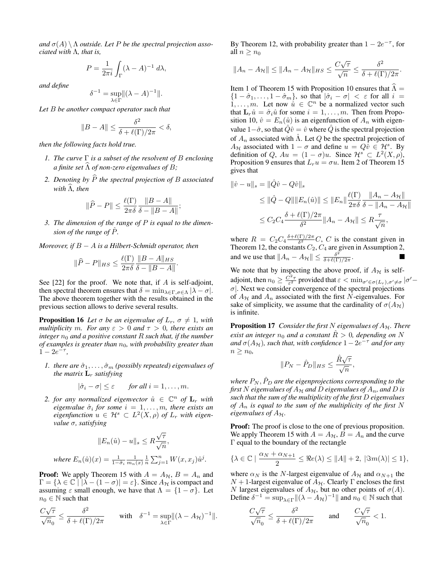and  $\sigma(A) \setminus \Lambda$  *outside. Let* P *be the spectral projection associated with* Λ*, that is,*

$$
P = \frac{1}{2\pi i} \int_{\Gamma} (\lambda - A)^{-1} d\lambda,
$$

*and define*

$$
\delta^{-1} = \sup_{\lambda \in \Gamma} ||(\lambda - A)^{-1}||.
$$

*Let* B *be another compact operator such that*

$$
||B - A|| \le \frac{\delta^2}{\delta + \ell(\Gamma)/2\pi} < \delta,
$$

*then the following facts hold true.*

- *1. The curve* Γ *is a subset of the resolvent of* B *enclosing a finite set*  $\widehat{\Lambda}$  *of non-zero eigenvalues of* B;
- 2. Denoting by  $\widehat{P}$  the spectral projection of B associated *with*  $\widehat{\Lambda}$ *, then*

$$
\|\widehat{P} - P\| \le \frac{\ell(\Gamma)}{2\pi\delta} \frac{\|B - A\|}{\delta - \|B - A\|};
$$

*3. The dimension of the range of* P *is equal to the dimension of the range of* Pˆ*.*

*Moreover, if* B − A *is a Hilbert-Schmidt operator, then*

$$
\|\widehat{P} - P\|_{HS} \le \frac{\ell(\Gamma)}{2\pi\delta} \frac{\|B - A\|_{HS}}{\delta - \|B - A\|}.
$$

See  $[22]$  for the proof. We note that, if A is self-adjoint, then spectral theorem ensures that  $\delta = \min_{\lambda \in \Gamma, \sigma \in \Lambda} |\lambda - \sigma|$ . The above theorem together with the results obtained in the previous section allows to derive several results.

**Proposition 16** Let  $\sigma$  be an eigenvalue of  $L_r$ ,  $\sigma \neq 1$ , with *multiplicity* m. For any  $\varepsilon > 0$  and  $\tau > 0$ , there exists an *integer*  $n_0$  *and a positive constant* R *such that, if the number of examples is greater than*  $n_0$ *, with probability greater than*  $1 - 2e^{-\tau},$ 

*1. there are*  $\hat{\sigma}_1, \ldots, \hat{\sigma}_m$  *(possibly repeated) eigenvalues of the matrix*  $L_r$  *satisfying* 

$$
|\hat{\sigma}_i - \sigma| \leq \varepsilon \quad \text{for all } i = 1, \dots, m.
$$

2. *for any normalized eigenvector*  $\hat{u} \in \mathbb{C}^n$  *of*  $\mathbf{L}_r$  *with*  $eigenvalue$   $\hat{\sigma}_i$  for some  $i = 1, \ldots, m$ , there exists an  $eigenfunction \ u \in \mathcal{H}^s \subset L^2(X, \rho) \text{ of } L_r \text{ with eigen-}$ *value* σ*, satisfying*

$$
||E_n(\hat{u}) - u||_s \le R \frac{\sqrt{\tau}}{\sqrt{n}},
$$
  
where  $E_n(\hat{u})(x) = \frac{1}{1 - \hat{\sigma}_i} \frac{1}{m_n(x)} \frac{1}{n} \sum_{j=1}^n W(x, x_j) \hat{u}^j$ 

*.*

**Proof:** We apply Theorem 15 with  $A = A_H$ ,  $B = A_n$  and  $\Gamma = {\lambda \in \mathbb{C} \mid |\lambda - (1 - \sigma)| = \varepsilon}.$  Since  $A_{\mathcal{H}}$  is compact and assuming  $\varepsilon$  small enough, we have that  $\Lambda = \{1 - \sigma\}$ . Let  $n_0 \in \mathbb{N}$  such that

$$
\frac{C\sqrt{\tau}}{\sqrt{n_0}} \le \frac{\delta^2}{\delta + \ell(\Gamma)/2\pi} \quad \text{with} \quad \delta^{-1} = \sup_{\lambda \in \Gamma} \lVert (\lambda - A_{\mathcal{H}})^{-1} \rVert.
$$

By Theorem 12, with probability greater than  $1 - 2e^{-\tau}$ , for all  $n \geq n_0$ 

$$
||A_n - A_{\mathcal{H}}|| \le ||A_n - A_{\mathcal{H}}||_{HS} \le \frac{C\sqrt{\tau}}{\sqrt{n}} \le \frac{\delta^2}{\delta + \ell(\Gamma)/2\pi}.
$$

Item 1 of Theorem 15 with Proposition 10 ensures that  $\hat{\Lambda} =$  ${1 - \hat{\sigma}_1, \ldots, 1 - \hat{\sigma}_m}$ , so that  $|\hat{\sigma}_i - \sigma| < \varepsilon$  for all  $i =$  $1, \ldots, m$ . Let now  $\hat{u} \in \mathbb{C}^n$  be a normalized vector such that  $\mathbf{L}_r \hat{u} = \hat{\sigma}_i \hat{u}$  for some  $i = 1, \dots, m$ . Then from Proposition 10,  $\hat{v} = E_n(\hat{u})$  is an eigenfunction of  $A_n$  with eigenvalue  $1-\hat{\sigma}$ , so that  $\hat{Q}\hat{v} = \hat{v}$  where  $\hat{Q}$  is the spectral projection of  $A_n$  associated with  $\hat{\Lambda}$ . Let Q be the spectral projection of  $A_{\mathcal{H}}$  associated with  $1 - \sigma$  and define  $u = Q\hat{v} \in \mathcal{H}^s$ . By definition of Q,  $Au = (1 - \sigma)u$ . Since  $\mathcal{H}^s \subset L^2(X, \rho)$ , Proposition 9 ensures that  $L_r u = \sigma u$ . Item 2 of Theorem 15 gives that

$$
\|\hat{v} - u\|_{s} = \|\hat{Q}\hat{v} - Q\hat{v}\|_{s}
$$
  
\n
$$
\leq \|\hat{Q} - Q\| \|E_{n}(\hat{u})\| \leq \|E_{n}\| \frac{\ell(\Gamma)}{2\pi\delta} \frac{\|A_{n} - A_{\mathcal{H}}\|}{\delta - \|A_{n} - A_{\mathcal{H}}\|}
$$
  
\n
$$
\leq C_{2}C_{4} \frac{\delta + \ell(\Gamma)/2\pi}{\delta^{2}} \|A_{n} - A_{\mathcal{H}}\| \leq R \frac{\tau}{\sqrt{n}},
$$

where  $R = C_2 C_4 \frac{\delta + \ell(\Gamma)/2\pi}{\delta^2}$  $\frac{(\frac{1}{2})/2\pi}{\delta^2}C$ , C is the constant given in Theorem 12, the constants  $C_2$ ,  $C_4$  are given in Assumption 2, and we use that  $||A_n - A_{\mathcal{H}}|| \leq \frac{\delta^2}{\delta + \ell(\Gamma)}$  $\frac{\delta^2}{\delta + \ell(\Gamma)/2\pi}.$ 

We note that by inspecting the above proof, if  $A_{\mathcal{H}}$  is selfadjoint, then  $n_0 \geq \frac{C^2 \tau}{\varepsilon^2}$  provided that  $\varepsilon < \min_{\sigma' \in \sigma(L_r), \sigma' \neq \sigma} |\sigma' \sigma$ . Next we consider convergence of the spectral projections of  $A_{H}$  and  $A_{n}$  associated with the first N-eigenvalues. For sake of simplicity, we assume that the cardinality of  $\sigma(A_{\mathcal{H}})$ is infinite.

**Proposition 17** *Consider the first*  $N$  *eigenvalues of*  $A_{\mathcal{H}}$ *. There exist an integer*  $n_0$  *and a constant*  $\ddot{R} > 0$ *, depending on* N and  $\sigma(A_{\mathcal{H}})$ , such that, with confidence  $1-2e^{-\tau}$  and for any  $n \geq n_0$ √

$$
||P_N - \hat{P}_D||_{HS} \le \frac{\hat{R}\sqrt{\tau}}{\sqrt{n}},
$$

*where*  $P_N$ ,  $\hat{P}_D$  *are the eigenprojections corresponding to the first* N eigenvalues of  $A_H$  and D eigenvalues of  $A_n$ , and D is *such that the sum of the multiplicity of the first* D *eigenvalues of*  $A_n$  *is equal to the sum of the multiplicity of the first* N *eigenvalues of*  $A_H$ *.* 

Proof: The proof is close to the one of previous proposition. We apply Theorem 15 with  $A = A_H$ ,  $B = A_n$  and the curve Γ equal to the boundary of the rectangle

$$
\{\lambda \in \mathbb{C} \mid \frac{\alpha_N + \alpha_{N+1}}{2} \leq \Re e(\lambda) \leq ||A|| + 2, \ |\Im m(\lambda)| \leq 1\},\
$$

where  $\alpha_N$  is the N-largest eigenvalue of  $A_{\mathcal{H}}$  and  $\alpha_{N+1}$  the  $N + 1$ -largest eigenvalue of  $A_{\mathcal{H}}$ . Clearly  $\Gamma$  encloses the first N largest eigenvalues of  $A_{H}$ , but no other points of  $\sigma(A)$ . Define  $\delta^{-1} = \sup_{\lambda \in \Gamma} ||(\lambda - A_{\mathcal{H}})^{-1}||$  and  $n_0 \in \mathbb{N}$  such that

$$
\frac{C\sqrt{\tau}}{\sqrt{n}_0}\leq \frac{\delta^2}{\delta+\ell(\Gamma)/2\pi}\qquad\text{and}\qquad \frac{C\sqrt{\tau}}{\sqrt{n}_0}<1.
$$